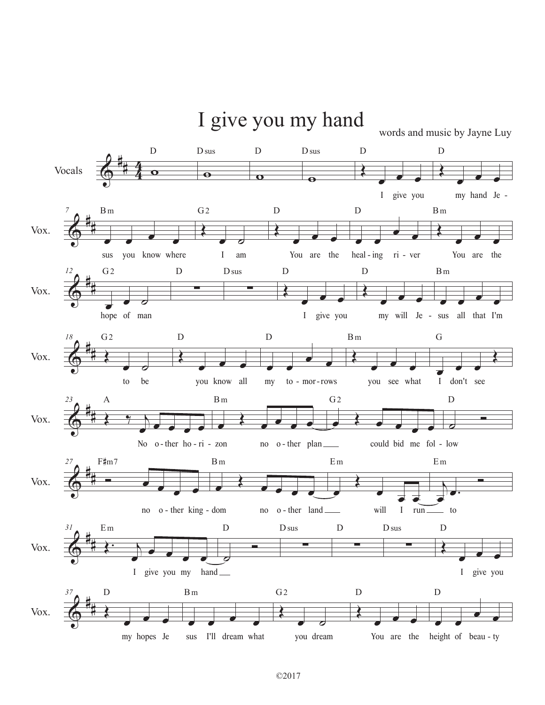